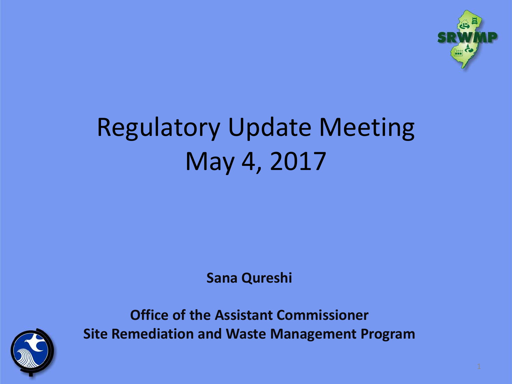

#### Regulatory Update Meeting May 4, 2017

**Sana Qureshi**



**Office of the Assistant Commissioner Site Remediation and Waste Management Program**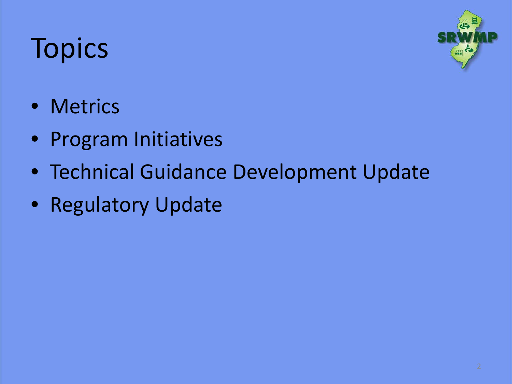# **Topics**



- Metrics
- Program Initiatives
- Technical Guidance Development Update
- Regulatory Update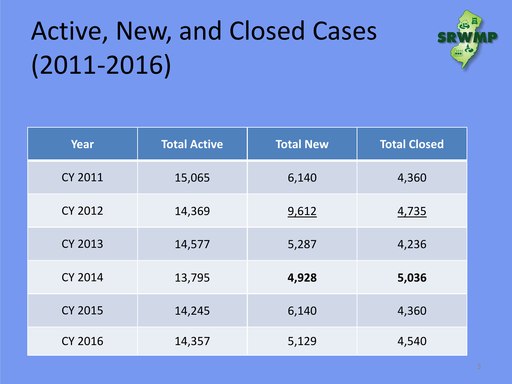## Active, New, and Closed Cases (2011-2016)



| Year           | <b>Total Active</b> | <b>Total New</b> | <b>Total Closed</b> |  |
|----------------|---------------------|------------------|---------------------|--|
| <b>CY 2011</b> | 15,065              | 6,140            | 4,360               |  |
| <b>CY 2012</b> | 14,369              | 9,612            | 4,735               |  |
| <b>CY 2013</b> | 14,577              | 5,287            | 4,236               |  |
| <b>CY 2014</b> | 13,795              | 4,928            | 5,036               |  |
| <b>CY 2015</b> | 14,245              | 6,140            | 4,360               |  |
| <b>CY 2016</b> | 14,357              | 5,129            | 4,540               |  |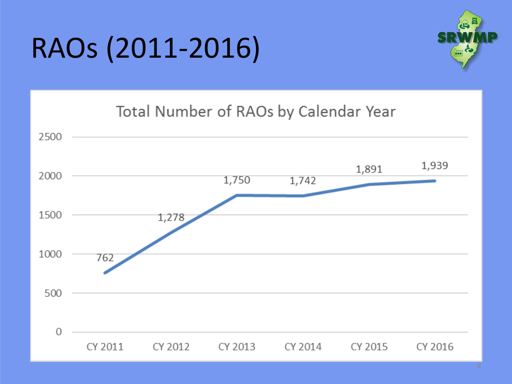# RAOs (2011-2016)



#### Total Number of RAOs by Calendar Year

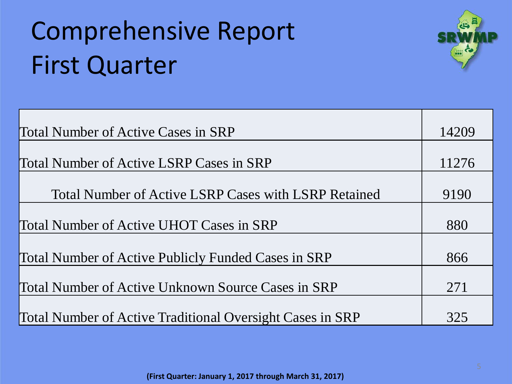## Comprehensive Report First Quarter



| <b>Total Number of Active Cases in SRP</b>                       |      |  |
|------------------------------------------------------------------|------|--|
|                                                                  |      |  |
| <b>Total Number of Active LSRP Cases in SRP</b>                  |      |  |
|                                                                  |      |  |
| <b>Total Number of Active LSRP Cases with LSRP Retained</b>      | 9190 |  |
|                                                                  |      |  |
| Total Number of Active UHOT Cases in SRP                         | 880  |  |
|                                                                  |      |  |
| Total Number of Active Publicly Funded Cases in SRP              | 866  |  |
|                                                                  |      |  |
| Total Number of Active Unknown Source Cases in SRP               |      |  |
|                                                                  |      |  |
| <b>Total Number of Active Traditional Oversight Cases in SRP</b> | 325  |  |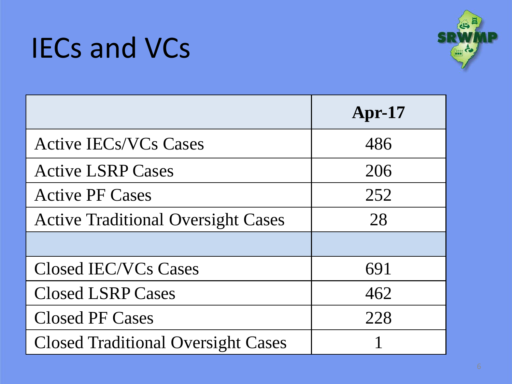#### IECs and VCs



|                                           | $Apr-17$ |  |
|-------------------------------------------|----------|--|
| <b>Active IECs/VCs Cases</b>              | 486      |  |
| <b>Active LSRP Cases</b>                  | 206      |  |
| <b>Active PF Cases</b>                    | 252      |  |
| <b>Active Traditional Oversight Cases</b> | 28       |  |
|                                           |          |  |
| Closed IEC/VCs Cases                      | 691      |  |
| <b>Closed LSRP Cases</b>                  | 462      |  |
| <b>Closed PF Cases</b>                    | 228      |  |
| <b>Closed Traditional Oversight Cases</b> |          |  |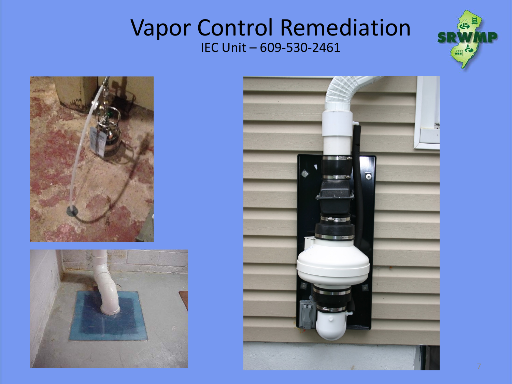#### Vapor Control Remediation IEC Unit – 609-530-2461







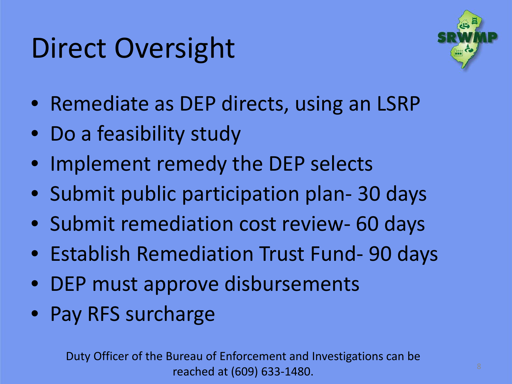## Direct Oversight



- Remediate as DEP directs, using an LSRP
- Do a feasibility study
- Implement remedy the DEP selects
- Submit public participation plan- 30 days
- Submit remediation cost review- 60 days
- Establish Remediation Trust Fund- 90 days
- DEP must approve disbursements
- Pay RFS surcharge

Duty Officer of the Bureau of Enforcement and Investigations can be reached at (609) 633-1480.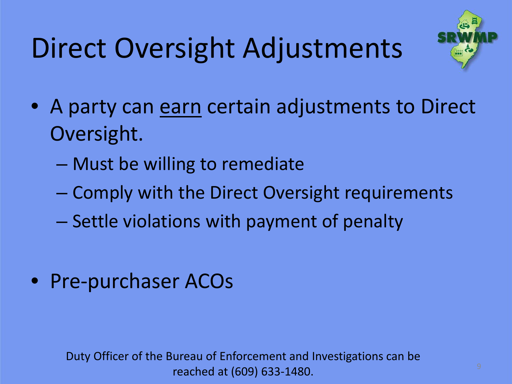# Direct Oversight Adjustments



- A party can earn certain adjustments to Direct Oversight.
	- Must be willing to remediate
	- Comply with the Direct Oversight requirements
	- Settle violations with payment of penalty
- Pre-purchaser ACOs

Duty Officer of the Bureau of Enforcement and Investigations can be reached at (609) 633-1480.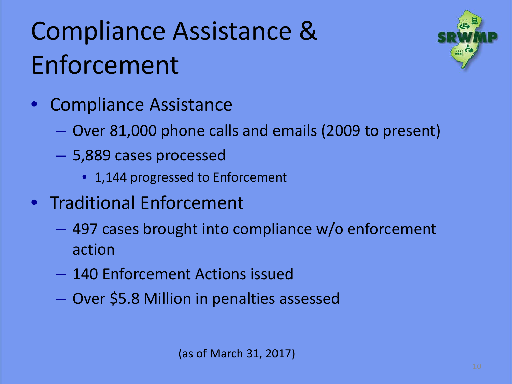## Compliance Assistance & Enforcement



- Over 81,000 phone calls and emails (2009 to present)
- 5,889 cases processed
	- 1,144 progressed to Enforcement
- Traditional Enforcement
	- 497 cases brought into compliance w/o enforcement action
	- 140 Enforcement Actions issued
	- Over \$5.8 Million in penalties assessed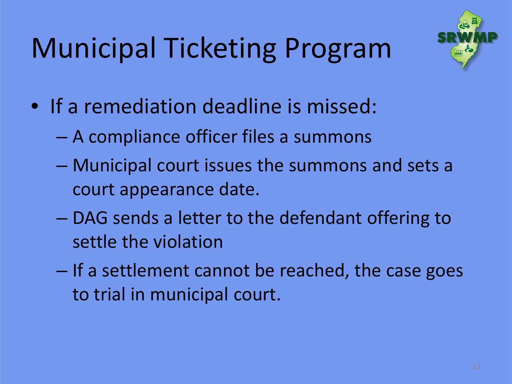# Municipal Ticketing Program



- If a remediation deadline is missed:
	- A compliance officer files a summons
	- Municipal court issues the summons and sets a court appearance date.
	- DAG sends a letter to the defendant offering to settle the violation
	- If a settlement cannot be reached, the case goes to trial in municipal court.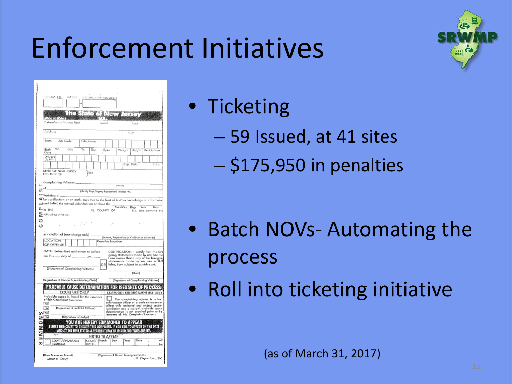#### Enforcement Initiatives

|    | COUNT LD.<br>2段出りに<br>COMPLAINT NUMBER                                                                                                                                                          |
|----|-------------------------------------------------------------------------------------------------------------------------------------------------------------------------------------------------|
|    |                                                                                                                                                                                                 |
|    | 石本<br><b>Pregse Paint</b>                                                                                                                                                                       |
|    | Defendant's Mame: First<br>Initial<br>تنما                                                                                                                                                      |
|    | Addrasa<br>City                                                                                                                                                                                 |
|    | State<br>Zip Code<br>Talaphane                                                                                                                                                                  |
|    | Mo.<br>Birth<br>Day<br>Yr.<br>Sex<br>Eyüs<br>Weight<br>Resiriztions<br>Height<br>Dote                                                                                                           |
|    | Driver's<br>Lic. No.<br>Stola                                                                                                                                                                   |
|    | Exp. Data<br>STATE OF NEW JERSEY                                                                                                                                                                |
|    | 55:<br>COUNTY OF                                                                                                                                                                                |
|    | Complaining Witness:<br>D-locuil<br>иł                                                                                                                                                          |
| Z. | (Identify Days /Agency Represented) (Bodgs Mo.)<br><sup>aaw Residing at</sup> –                                                                                                                 |
|    | 双 by cartification or on ooth, says that to the best of his/her knowledge or informatio<br>and and belief, the named defendant on or about the Monthly                                          |
|    | Yeor<br><b>Day</b><br>Time<br>டிங∈<br>1). COUNTY OF<br>NJ. did commit the                                                                                                                       |
|    | S following ottense.                                                                                                                                                                            |
| ē  |                                                                                                                                                                                                 |
|    | in violation of (one charge only)<br>(Statute, Regulation or Ordinance Number)                                                                                                                  |
|    | <b>LOCATION</b><br>Describe Location<br>OF OFFENSE                                                                                                                                              |
|    | OATH: Subscribed and swom to before<br>CERTIFICATION: I certify that the fore<br>going statements made by me are true                                                                           |
|    | Fam aware that if any of the foregoing<br>statements mode by me are willfull<br>false, I am subject to punishment,                                                                              |
|    | ORI<br>(Signature of Complaining Witness)                                                                                                                                                       |
|    | (Dote)<br>(Signature of Person Administering Oeth)<br>(Signature of Complaining Witness)                                                                                                        |
|    | ROBABLE CAUSE DETERMIN                                                                                                                                                                          |
|    | <b>COURT USE ONLY</b><br>LAW/CODE ENFORCEMENT USE ONLY<br>Probable cause is found for the issuance                                                                                              |
|    | J<br>of this Complaint-Summons<br>The complaining witness is a low<br>exforcement officer or a code enforcement<br>afficer with territorial and subject matter<br>Yes                           |
|    | (Signature of Judicial Officer)<br>$N_{\text{F}}$<br>jurisdiction and a judicial probable cause<br>determination is not required prior to the<br>issuance of this Complaint-Summons.<br>CO That |
|    | $\blacksquare$<br>(Signature of Judge)<br>YOU ARE HEREBY SUMMONED TO APPEAR                                                                                                                     |
|    | BEFORE THIS COURT TO ANSWER THIS COMPLAINT. IF YOU FAIL TO APPEAR ON THE DATE<br>AND AT THE TIME STATED, A WARRANT MAY BE ISSUED FOR YOUR ARREST.                                               |
|    | <b>NOTICE TO APPEAR</b>                                                                                                                                                                         |
|    | $\overline{\Delta \lambda}$<br>COURT APPEARANCE<br>COURT Month<br>Day<br>Year<br>Time<br>REQUIRED<br>DATE .<br>FМ                                                                               |
|    | (Signature of Person Issuing Summons)<br>(Data Summons Issued)                                                                                                                                  |
|    | SF (September, 200<br>Court's Copy                                                                                                                                                              |

• Ticketing

- 59 Issued, at 41 sites
- \$175,950 in penalties

- Batch NOVs- Automating the process
- Roll into ticketing initiative

(as of March 31, 2017)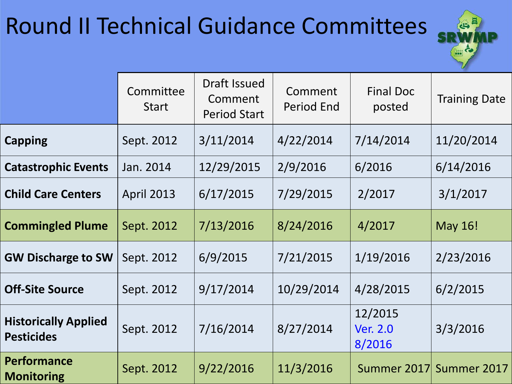#### Round II Technical Guidance Committees



|                                                  | Committee<br><b>Start</b> | Draft Issued<br>Comment<br><b>Period Start</b> | Comment<br>Period End | <b>Final Doc</b><br>posted    | <b>Training Date</b>    |
|--------------------------------------------------|---------------------------|------------------------------------------------|-----------------------|-------------------------------|-------------------------|
| <b>Capping</b>                                   | Sept. 2012                | 3/11/2014                                      | 4/22/2014             | 7/14/2014                     | 11/20/2014              |
| <b>Catastrophic Events</b>                       | Jan. 2014                 | 12/29/2015                                     | 2/9/2016              | 6/2016                        | 6/14/2016               |
| <b>Child Care Centers</b>                        | <b>April 2013</b>         | 6/17/2015                                      | 7/29/2015             | 2/2017                        | 3/1/2017                |
| <b>Commingled Plume</b>                          | Sept. 2012                | 7/13/2016                                      | 8/24/2016             | 4/2017                        | <b>May 16!</b>          |
| <b>GW Discharge to SW</b>                        | Sept. 2012                | 6/9/2015                                       | 7/21/2015             | 1/19/2016                     | 2/23/2016               |
| <b>Off-Site Source</b>                           | Sept. 2012                | 9/17/2014                                      | 10/29/2014            | 4/28/2015                     | 6/2/2015                |
| <b>Historically Applied</b><br><b>Pesticides</b> | Sept. 2012                | 7/16/2014                                      | 8/27/2014             | 12/2015<br>Ver. 2.0<br>8/2016 | 3/3/2016                |
| <b>Performance</b><br><b>Monitoring</b>          | Sept. 2012                | 9/22/2016                                      | 11/3/2016             |                               | Summer 2017 Summer 2017 |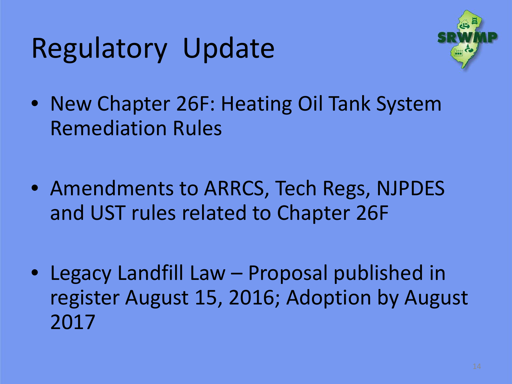## Regulatory Update



- New Chapter 26F: Heating Oil Tank System Remediation Rules
- Amendments to ARRCS, Tech Regs, NJPDES and UST rules related to Chapter 26F
- Legacy Landfill Law Proposal published in register August 15, 2016; Adoption by August 2017